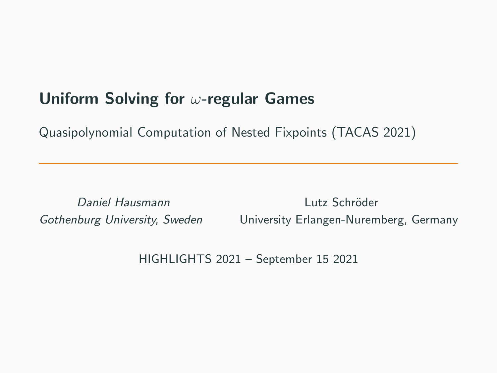# Uniform Solving for ω-regular Games

Quasipolynomial Computation of Nested Fixpoints (TACAS 2021)

Daniel Hausmann Lutz Schröder Gothenburg University, Sweden University Erlangen-Nuremberg, Germany

HIGHLIGHTS 2021 – September 15 2021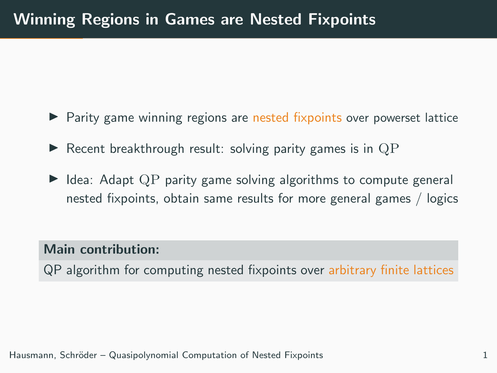- $\triangleright$  Parity game winning regions are nested fixpoints over powerset lattice
- $\blacktriangleright$  Recent breakthrough result: solving parity games is in QP
- $\triangleright$  Idea: Adapt QP parity game solving algorithms to compute general nested fixpoints, obtain same results for more general games / logics

#### Main contribution:

QP algorithm for computing nested fixpoints over arbitrary finite lattices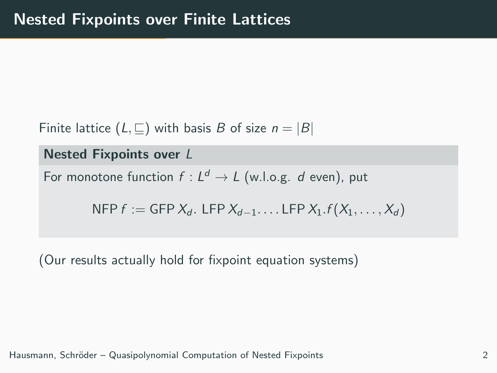Finite lattice  $(L, \square)$  with basis B of size  $n = |B|$ 

Nested Fixpoints over L

For monotone function  $f: L^d \to L$  (w.l.o.g. d even), put

NFP  $f := GFP X_d$ . LFP  $X_{d-1}$ .... LFP  $X_1, f(X_1, \ldots, X_d)$ 

(Our results actually hold for fixpoint equation systems)

Hausmann, Schröder – Quasipolynomial Computation of Nested Fixpoints 2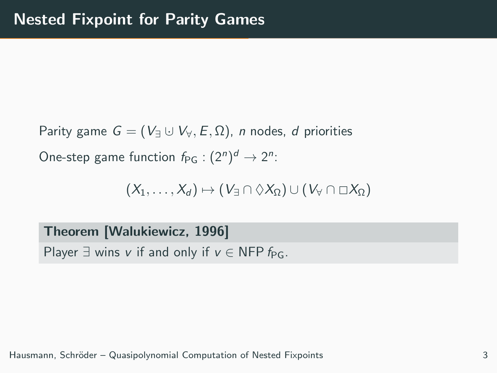Parity game  $G = (V_{\exists} \cup V_{\forall}, E, \Omega)$ , n nodes, d priorities One-step game function  $f_{\text{PG}}:(2^n)^d \rightarrow 2^n$ :

 $(X_1, \ldots, X_d) \mapsto (V_{\exists} \cap \Diamond X_{\Omega}) \cup (V_{\forall} \cap \Box X_{\Omega})$ 

Theorem [Walukiewicz, 1996] Player  $\exists$  wins v if and only if  $v \in$  NFP  $f_{\text{PG}}$ .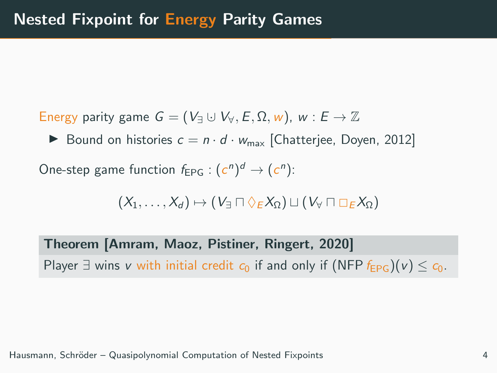Energy parity game  $G = (V_{\exists} \cup V_{\forall}, E, \Omega, w)$ ,  $w : E \rightarrow \mathbb{Z}$ 

Bound on histories  $c = n \cdot d \cdot w_{\text{max}}$  [Chatterjee, Doyen, 2012]

One-step game function  $f_{EPG}: (c^n)^d \rightarrow (c^n)$ :

$$
(X_1,\ldots,X_d)\mapsto (V_\exists\sqcap\Diamond_E X_\Omega)\sqcup (V_\forall\sqcap\Box_E X_\Omega)
$$

Theorem [Amram, Maoz, Pistiner, Ringert, 2020] Player  $\exists$  wins v with initial credit  $c_0$  if and only if (NFP  $f_{EPG}$ )(v)  $\leq c_0$ .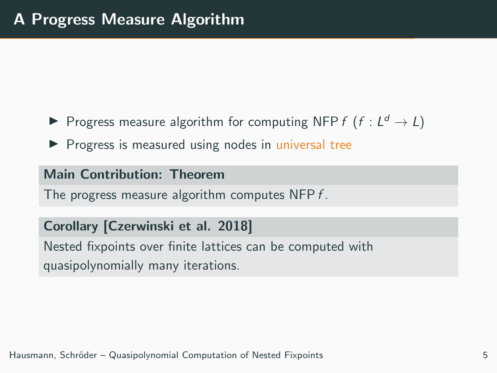- Progress measure algorithm for computing NFP  $f$   $(f: L^d \to L)$
- $\triangleright$  Progress is measured using nodes in universal tree

### Main Contribution: Theorem

The progress measure algorithm computes NFP f.

### Corollary [Czerwinski et al. 2018]

Nested fixpoints over finite lattices can be computed with quasipolynomially many iterations.